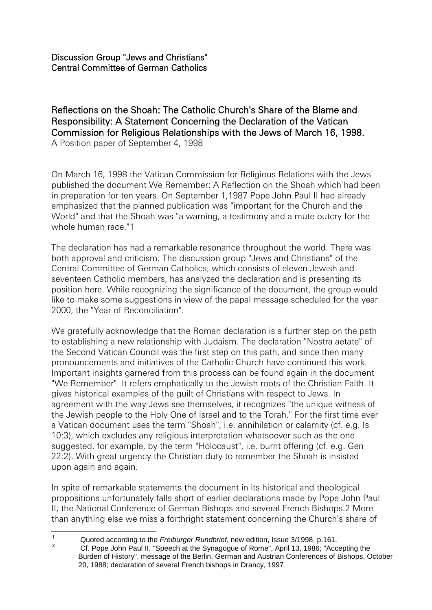Reflections on the Shoah: The Catholic Church's Share of the Blame and Responsibility: A Statement Concerning the Declaration of the Vatican Commission for Religious Relationships with the Jews of March 16, 1998. A Position paper of September 4, 1998

On March 16, 1998 the Vatican Commission for Religious Relations with the Jews published the document We Remember: A Reflection on the Shoah which had been in preparation for ten years. On September 1,1987 Pope John Paul II had already emphasized that the planned publication was "important for the Church and the World" and that the Shoah was "a warning, a testimony and a mute outcry for the whole human race "1

The declaration has had a remarkable resonance throughout the world. There was both approval and criticism. The discussion group "Jews and Christians" of the Central Committee of German Catholics, which consists of eleven Jewish and seventeen Catholic members, has analyzed the declaration and is presenting its position here. While recognizing the significance of the document, the group would like to make some suggestions in view of the papal message scheduled for the year 2000, the "Year of Reconciliation".

We gratefully acknowledge that the Roman declaration is a further step on the path to establishing a new relationship with Judaism. The declaration "Nostra aetate" of the Second Vatican Council was the first step on this path, and since then many pronouncements and initiatives of the Catholic Church have continued this work. Important insights garnered from this process can be found again in the document "We Remember". It refers emphatically to the Jewish roots of the Christian Faith. It gives historical examples of the guilt of Christians with respect to Jews. In agreement with the way Jews see themselves, it recognizes "the unique witness of the Jewish people to the Holy One of Israel and to the Torah." For the first time ever a Vatican document uses the term "Shoah", i.e. annihilation or calamity (cf. e.g. Is 10:3), which excludes any religious interpretation whatsoever such as the one suggested, for example, by the term "Holocaust", i.e. burnt offering (cf. e.g. Gen 22:2). With great urgency the Christian duty to remember the Shoah is insisted upon again and again.

In spite of remarkable statements the document in its historical and theological propositions unfortunately falls short of earlier declarations made by Pope John Paul II, the National Conference of German Bishops and several French Bishops.2 More than anything else we miss a forthright statement concerning the Church's share of

 $\mathbf{1}$ <sup>1</sup> Quoted according to the *Freiburger Rundbrief*, new edition, Issue 3/1998, p.161.

<sup>2</sup> Cf. Pope John Paul II, "Speech at the Synagogue of Rome", April 13, 1986; "Accepting the Burden of History", message of the Berlin, German and Austrian Conferences of Bishops, October 20, 1988; declaration of several French bishops in Drancy, 1997.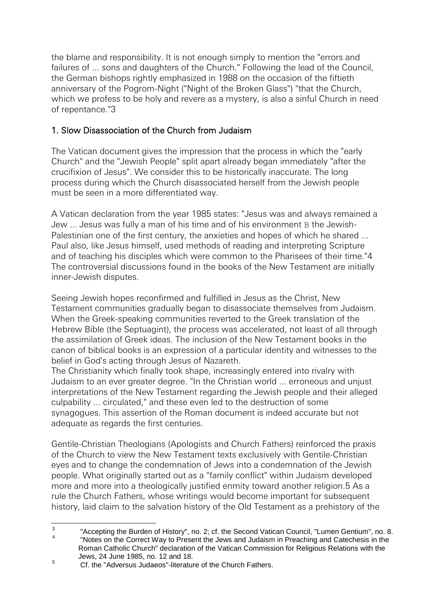the blame and responsibility. It is not enough simply to mention the "errors and failures of ... sons and daughters of the Church." Following the lead of the Council, the German bishops rightly emphasized in 1988 on the occasion of the fiftieth anniversary of the Pogrom-Night ("Night of the Broken Glass") "that the Church, which we profess to be holy and revere as a mystery, is also a sinful Church in need of repentance."3

## 1. Slow Disassociation of the Church from Judaism

The Vatican document gives the impression that the process in which the "early Church" and the "Jewish People" split apart already began immediately "after the crucifixion of Jesus". We consider this to be historically inaccurate. The long process during which the Church disassociated herself from the Jewish people must be seen in a more differentiated way.

A Vatican declaration from the year 1985 states: "Jesus was and always remained a Jew ... Jesus was fully a man of his time and of his environment B the Jewish-Palestinian one of the first century, the anxieties and hopes of which he shared ... Paul also, like Jesus himself, used methods of reading and interpreting Scripture and of teaching his disciples which were common to the Pharisees of their time."4 The controversial discussions found in the books of the New Testament are initially inner-Jewish disputes.

Seeing Jewish hopes reconfirmed and fulfilled in Jesus as the Christ, New Testament communities gradually began to disassociate themselves from Judaism. When the Greek-speaking communities reverted to the Greek translation of the Hebrew Bible (the Septuagint), the process was accelerated, not least of all through the assimilation of Greek ideas. The inclusion of the New Testament books in the canon of biblical books is an expression of a particular identity and witnesses to the belief in God's acting through Jesus of Nazareth.

The Christianity which finally took shape, increasingly entered into rivalry with Judaism to an ever greater degree. "In the Christian world ... erroneous and unjust interpretations of the New Testament regarding the Jewish people and their alleged culpability ... circulated," and these even led to the destruction of some synagogues. This assertion of the Roman document is indeed accurate but not adequate as regards the first centuries.

Gentile-Christian Theologians (Apologists and Church Fathers) reinforced the praxis of the Church to view the New Testament texts exclusively with Gentile-Christian eyes and to change the condemnation of Jews into a condemnation of the Jewish people. What originally started out as a "family conflict" within Judaism developed more and more into a theologically justified enmity toward another religion.5 As a rule the Church Fathers, whose writings would become important for subsequent history, laid claim to the salvation history of the Old Testament as a prehistory of the

 $\frac{1}{3}$ "Accepting the Burden of History", no. 2; cf. the Second Vatican Council, "Lumen Gentium", no. 8. 4 "Notes on the Correct Way to Present the Jews and Judaism in Preaching and Catechesis in the Roman Catholic Church" declaration of the Vatican Commission for Religious Relations with the Jews, 24 June 1985, no. 12 and 18.

 $5$  Cf. the "Adversus Judaeos"-literature of the Church Fathers.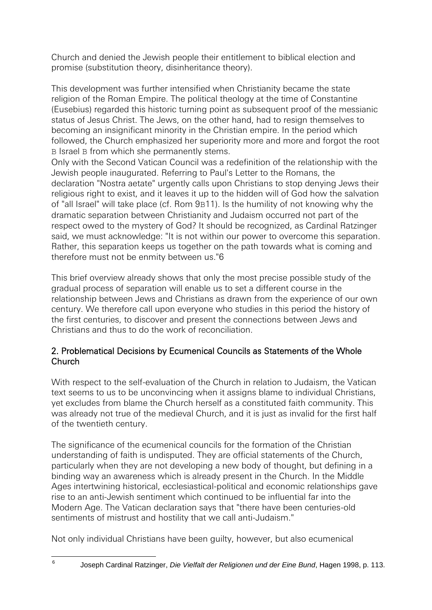Church and denied the Jewish people their entitlement to biblical election and promise (substitution theory, disinheritance theory).

This development was further intensified when Christianity became the state religion of the Roman Empire. The political theology at the time of Constantine (Eusebius) regarded this historic turning point as subsequent proof of the messianic status of Jesus Christ. The Jews, on the other hand, had to resign themselves to becoming an insignificant minority in the Christian empire. In the period which followed, the Church emphasized her superiority more and more and forgot the root B Israel B from which she permanently stems.

Only with the Second Vatican Council was a redefinition of the relationship with the Jewish people inaugurated. Referring to Paul's Letter to the Romans, the declaration "Nostra aetate" urgently calls upon Christians to stop denying Jews their religious right to exist, and it leaves it up to the hidden will of God how the salvation of "all Israel" will take place (cf. Rom 9B11). Is the humility of not knowing why the dramatic separation between Christianity and Judaism occurred not part of the respect owed to the mystery of God? It should be recognized, as Cardinal Ratzinger said, we must acknowledge: "It is not within our power to overcome this separation. Rather, this separation keeps us together on the path towards what is coming and therefore must not be enmity between us."6

This brief overview already shows that only the most precise possible study of the gradual process of separation will enable us to set a different course in the relationship between Jews and Christians as drawn from the experience of our own century. We therefore call upon everyone who studies in this period the history of the first centuries, to discover and present the connections between Jews and Christians and thus to do the work of reconciliation.

## 2. Problematical Decisions by Ecumenical Councils as Statements of the Whole Church

With respect to the self-evaluation of the Church in relation to Judaism, the Vatican text seems to us to be unconvincing when it assigns blame to individual Christians, yet excludes from blame the Church herself as a constituted faith community. This was already not true of the medieval Church, and it is just as invalid for the first half of the twentieth century.

The significance of the ecumenical councils for the formation of the Christian understanding of faith is undisputed. They are official statements of the Church, particularly when they are not developing a new body of thought, but defining in a binding way an awareness which is already present in the Church. In the Middle Ages intertwining historical, ecclesiastical-political and economic relationships gave rise to an anti-Jewish sentiment which continued to be influential far into the Modern Age. The Vatican declaration says that "there have been centuries-old sentiments of mistrust and hostility that we call anti-Judaism."

Not only individual Christians have been guilty, however, but also ecumenical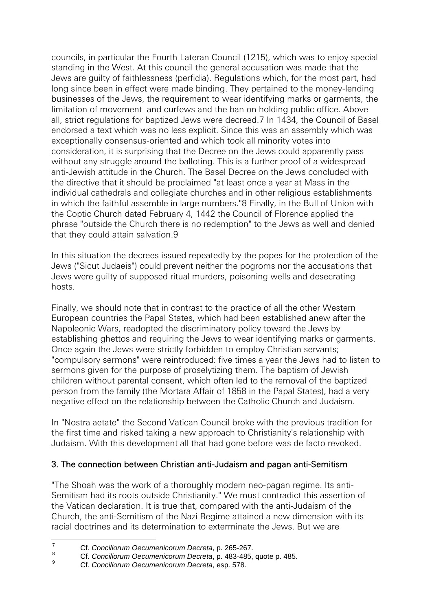councils, in particular the Fourth Lateran Council (1215), which was to enjoy special standing in the West. At this council the general accusation was made that the Jews are guilty of faithlessness (perfidia). Regulations which, for the most part, had long since been in effect were made binding. They pertained to the money-lending businesses of the Jews, the requirement to wear identifying marks or garments, the limitation of movement and curfews and the ban on holding public office. Above all, strict regulations for baptized Jews were decreed.7 In 1434, the Council of Basel endorsed a text which was no less explicit. Since this was an assembly which was exceptionally consensus-oriented and which took all minority votes into consideration, it is surprising that the Decree on the Jews could apparently pass without any struggle around the balloting. This is a further proof of a widespread anti-Jewish attitude in the Church. The Basel Decree on the Jews concluded with the directive that it should be proclaimed "at least once a year at Mass in the individual cathedrals and collegiate churches and in other religious establishments in which the faithful assemble in large numbers."8 Finally, in the Bull of Union with the Coptic Church dated February 4, 1442 the Council of Florence applied the phrase "outside the Church there is no redemption" to the Jews as well and denied that they could attain salvation.9

In this situation the decrees issued repeatedly by the popes for the protection of the Jews ("Sicut Judaeis") could prevent neither the pogroms nor the accusations that Jews were guilty of supposed ritual murders, poisoning wells and desecrating hosts.

Finally, we should note that in contrast to the practice of all the other Western European countries the Papal States, which had been established anew after the Napoleonic Wars, readopted the discriminatory policy toward the Jews by establishing ghettos and requiring the Jews to wear identifying marks or garments. Once again the Jews were strictly forbidden to employ Christian servants; "compulsory sermons" were reintroduced: five times a year the Jews had to listen to sermons given for the purpose of proselytizing them. The baptism of Jewish children without parental consent, which often led to the removal of the baptized person from the family (the Mortara Affair of 1858 in the Papal States), had a very negative effect on the relationship between the Catholic Church and Judaism.

In "Nostra aetate" the Second Vatican Council broke with the previous tradition for the first time and risked taking a new approach to Christianity's relationship with Judaism. With this development all that had gone before was de facto revoked.

## 3. The connection between Christian anti-Judaism and pagan anti-Semitism

"The Shoah was the work of a thoroughly modern neo-pagan regime. Its anti-Semitism had its roots outside Christianity." We must contradict this assertion of the Vatican declaration. It is true that, compared with the anti-Judaism of the Church, the anti-Semitism of the Nazi Regime attained a new dimension with its racial doctrines and its determination to exterminate the Jews. But we are

<sup>&</sup>lt;u>.</u> <sup>7</sup> Cf. *Conciliorum Oecumenicorum Decreta*, p. 265-267.

<sup>8</sup> Cf. *Conciliorum Oecumenicorum Decreta*, p. 483-485, quote p. 485.

<sup>9</sup> Cf. *Conciliorum Oecumenicorum Decreta*, esp. 578.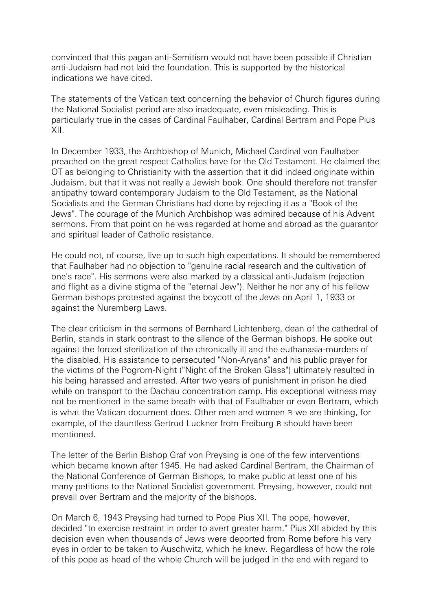convinced that this pagan anti-Semitism would not have been possible if Christian anti-Judaism had not laid the foundation. This is supported by the historical indications we have cited.

The statements of the Vatican text concerning the behavior of Church figures during the National Socialist period are also inadequate, even misleading. This is particularly true in the cases of Cardinal Faulhaber, Cardinal Bertram and Pope Pius XII.

In December 1933, the Archbishop of Munich, Michael Cardinal von Faulhaber preached on the great respect Catholics have for the Old Testament. He claimed the OT as belonging to Christianity with the assertion that it did indeed originate within Judaism, but that it was not really a Jewish book. One should therefore not transfer antipathy toward contemporary Judaism to the Old Testament, as the National Socialists and the German Christians had done by rejecting it as a "Book of the Jews". The courage of the Munich Archbishop was admired because of his Advent sermons. From that point on he was regarded at home and abroad as the guarantor and spiritual leader of Catholic resistance.

He could not, of course, live up to such high expectations. It should be remembered that Faulhaber had no objection to "genuine racial research and the cultivation of one's race". His sermons were also marked by a classical anti-Judaism (rejection and flight as a divine stigma of the "eternal Jew"). Neither he nor any of his fellow German bishops protested against the boycott of the Jews on April 1, 1933 or against the Nuremberg Laws.

The clear criticism in the sermons of Bernhard Lichtenberg, dean of the cathedral of Berlin, stands in stark contrast to the silence of the German bishops. He spoke out against the forced sterilization of the chronically ill and the euthanasia-murders of the disabled. His assistance to persecuted "Non-Aryans" and his public prayer for the victims of the Pogrom-Night ("Night of the Broken Glass") ultimately resulted in his being harassed and arrested. After two years of punishment in prison he died while on transport to the Dachau concentration camp. His exceptional witness may not be mentioned in the same breath with that of Faulhaber or even Bertram, which is what the Vatican document does. Other men and women B we are thinking, for example, of the dauntless Gertrud Luckner from Freiburg B should have been mentioned.

The letter of the Berlin Bishop Graf von Preysing is one of the few interventions which became known after 1945. He had asked Cardinal Bertram, the Chairman of the National Conference of German Bishops, to make public at least one of his many petitions to the National Socialist government. Preysing, however, could not prevail over Bertram and the majority of the bishops.

On March 6, 1943 Preysing had turned to Pope Pius XII. The pope, however, decided "to exercise restraint in order to avert greater harm." Pius XII abided by this decision even when thousands of Jews were deported from Rome before his very eyes in order to be taken to Auschwitz, which he knew. Regardless of how the role of this pope as head of the whole Church will be judged in the end with regard to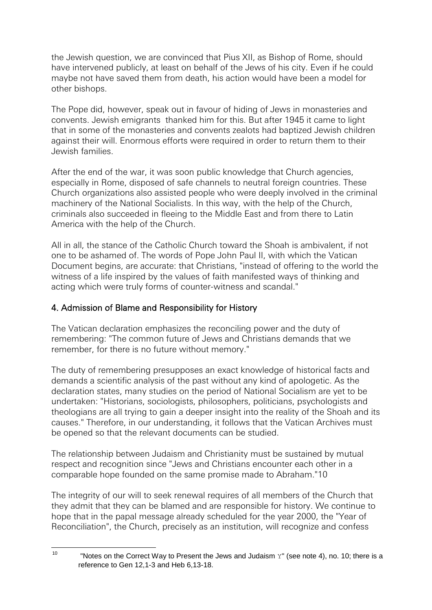the Jewish question, we are convinced that Pius XII, as Bishop of Rome, should have intervened publicly, at least on behalf of the Jews of his city. Even if he could maybe not have saved them from death, his action would have been a model for other bishops.

The Pope did, however, speak out in favour of hiding of Jews in monasteries and convents. Jewish emigrants thanked him for this. But after 1945 it came to light that in some of the monasteries and convents zealots had baptized Jewish children against their will. Enormous efforts were required in order to return them to their Jewish families.

After the end of the war, it was soon public knowledge that Church agencies, especially in Rome, disposed of safe channels to neutral foreign countries. These Church organizations also assisted people who were deeply involved in the criminal machinery of the National Socialists. In this way, with the help of the Church, criminals also succeeded in fleeing to the Middle East and from there to Latin America with the help of the Church.

All in all, the stance of the Catholic Church toward the Shoah is ambivalent, if not one to be ashamed of. The words of Pope John Paul II, with which the Vatican Document begins, are accurate: that Christians, "instead of offering to the world the witness of a life inspired by the values of faith manifested ways of thinking and acting which were truly forms of counter-witness and scandal."

## 4. Admission of Blame and Responsibility for History

The Vatican declaration emphasizes the reconciling power and the duty of remembering: "The common future of Jews and Christians demands that we remember, for there is no future without memory."

The duty of remembering presupposes an exact knowledge of historical facts and demands a scientific analysis of the past without any kind of apologetic. As the declaration states, many studies on the period of National Socialism are yet to be undertaken: "Historians, sociologists, philosophers, politicians, psychologists and theologians are all trying to gain a deeper insight into the reality of the Shoah and its causes." Therefore, in our understanding, it follows that the Vatican Archives must be opened so that the relevant documents can be studied.

The relationship between Judaism and Christianity must be sustained by mutual respect and recognition since "Jews and Christians encounter each other in a comparable hope founded on the same promise made to Abraham."10

The integrity of our will to seek renewal requires of all members of the Church that they admit that they can be blamed and are responsible for history. We continue to hope that in the papal message already scheduled for the year 2000, the "Year of Reconciliation", the Church, precisely as an institution, will recognize and confess

 $10$ "Notes on the Correct Way to Present the Jews and Judaism  $Y''$  (see note 4), no. 10; there is a reference to Gen 12,1-3 and Heb 6,13-18.